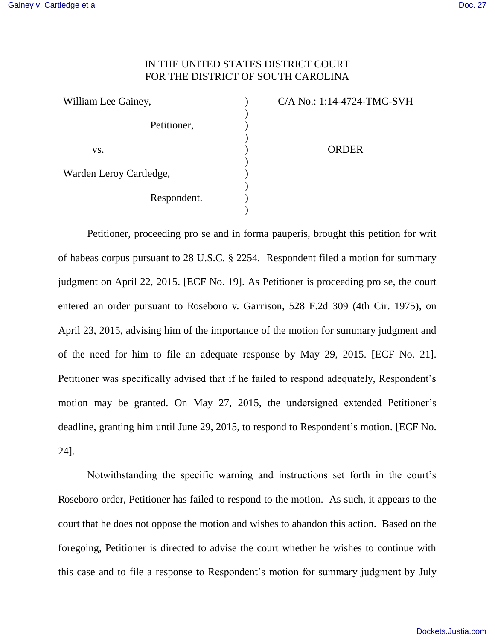## IN THE UNITED STATES DISTRICT COURT FOR THE DISTRICT OF SOUTH CAROLINA

| William Lee Gainey,     |             |  |
|-------------------------|-------------|--|
|                         |             |  |
|                         | Petitioner, |  |
|                         |             |  |
| VS.                     |             |  |
|                         |             |  |
| Warden Leroy Cartledge, |             |  |
|                         |             |  |
|                         | Respondent. |  |
|                         |             |  |

C/A No.: 1:14-4724-TMC-SVH ORDER

Petitioner, proceeding pro se and in forma pauperis, brought this petition for writ of habeas corpus pursuant to 28 U.S.C. § 2254. Respondent filed a motion for summary judgment on April 22, 2015. [ECF No. 19]. As Petitioner is proceeding pro se, the court entered an order pursuant to Roseboro v. Garrison, 528 F.2d 309 (4th Cir. 1975), on April 23, 2015, advising him of the importance of the motion for summary judgment and of the need for him to file an adequate response by May 29, 2015. [ECF No. 21]. Petitioner was specifically advised that if he failed to respond adequately, Respondent's motion may be granted. On May 27, 2015, the undersigned extended Petitioner's deadline, granting him until June 29, 2015, to respond to Respondent's motion. [ECF No. 24].

Notwithstanding the specific warning and instructions set forth in the court's Roseboro order, Petitioner has failed to respond to the motion. As such, it appears to the court that he does not oppose the motion and wishes to abandon this action. Based on the foregoing, Petitioner is directed to advise the court whether he wishes to continue with this case and to file a response to Respondent's motion for summary judgment by July